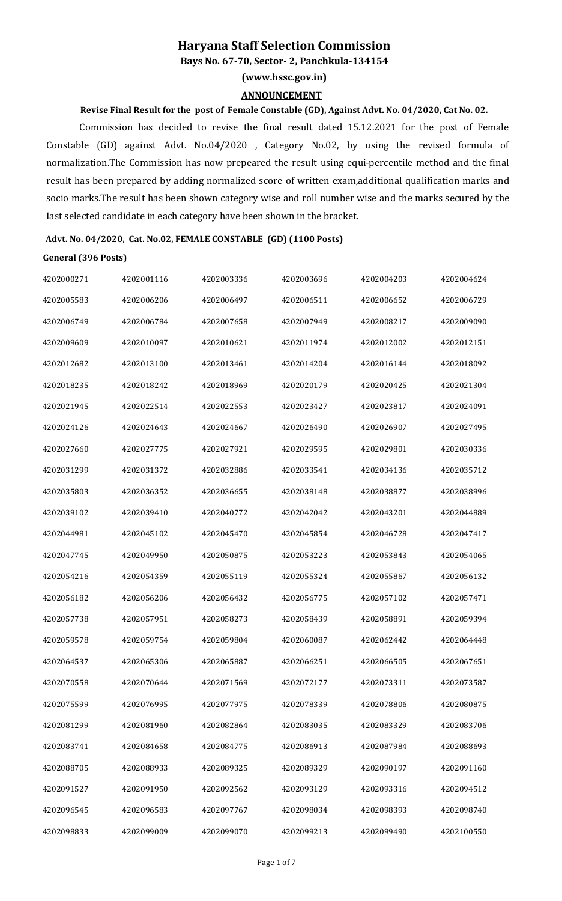## **Haryana Staff Selection Commission**

**Bays No. 67-70, Sector- 2, Panchkula-134154**

**(www.hssc.gov.in)**

#### **ANNOUNCEMENT**

### **Revise Final Result for the post of Female Constable (GD), Against Advt. No. 04/2020, Cat No. 02.**

Commission has decided to revise the final result dated 15.12.2021 for the post of Female Constable (GD) against Advt. No.04/2020 , Category No.02, by using the revised formula of normalization.The Commission has now prepeared the result using equi-percentile method and the final result has been prepared by adding normalized score of written exam,additional qualification marks and socio marks.The result has been shown category wise and roll number wise and the marks secured by the Iast selected candidate in each category have been shown in the bracket.

# **Advt. No. 04/2020, Cat. No.02, FEMALE CONSTABLE (GD) (1100 Posts)**

#### **General (396 Posts)**

| 4202000271 | 4202001116 | 4202003336 | 4202003696 | 4202004203 | 4202004624 |
|------------|------------|------------|------------|------------|------------|
| 4202005583 | 4202006206 | 4202006497 | 4202006511 | 4202006652 | 4202006729 |
| 4202006749 | 4202006784 | 4202007658 | 4202007949 | 4202008217 | 4202009090 |
| 4202009609 | 4202010097 | 4202010621 | 4202011974 | 4202012002 | 4202012151 |
| 4202012682 | 4202013100 | 4202013461 | 4202014204 | 4202016144 | 4202018092 |
| 4202018235 | 4202018242 | 4202018969 | 4202020179 | 4202020425 | 4202021304 |
| 4202021945 | 4202022514 | 4202022553 | 4202023427 | 4202023817 | 4202024091 |
| 4202024126 | 4202024643 | 4202024667 | 4202026490 | 4202026907 | 4202027495 |
| 4202027660 | 4202027775 | 4202027921 | 4202029595 | 4202029801 | 4202030336 |
| 4202031299 | 4202031372 | 4202032886 | 4202033541 | 4202034136 | 4202035712 |
| 4202035803 | 4202036352 | 4202036655 | 4202038148 | 4202038877 | 4202038996 |
| 4202039102 | 4202039410 | 4202040772 | 4202042042 | 4202043201 | 4202044889 |
| 4202044981 | 4202045102 | 4202045470 | 4202045854 | 4202046728 | 4202047417 |
| 4202047745 | 4202049950 | 4202050875 | 4202053223 | 4202053843 | 4202054065 |
| 4202054216 | 4202054359 | 4202055119 | 4202055324 | 4202055867 | 4202056132 |
| 4202056182 | 4202056206 | 4202056432 | 4202056775 | 4202057102 | 4202057471 |
| 4202057738 | 4202057951 | 4202058273 | 4202058439 | 4202058891 | 4202059394 |
| 4202059578 | 4202059754 | 4202059804 | 4202060087 | 4202062442 | 4202064448 |
| 4202064537 | 4202065306 | 4202065887 | 4202066251 | 4202066505 | 4202067651 |
| 4202070558 | 4202070644 | 4202071569 | 4202072177 | 4202073311 | 4202073587 |
| 4202075599 | 4202076995 | 4202077975 | 4202078339 | 4202078806 | 4202080875 |
| 4202081299 | 4202081960 | 4202082864 | 4202083035 | 4202083329 | 4202083706 |
| 4202083741 | 4202084658 | 4202084775 | 4202086913 | 4202087984 | 4202088693 |
| 4202088705 | 4202088933 | 4202089325 | 4202089329 | 4202090197 | 4202091160 |
| 4202091527 | 4202091950 | 4202092562 | 4202093129 | 4202093316 | 4202094512 |
| 4202096545 | 4202096583 | 4202097767 | 4202098034 | 4202098393 | 4202098740 |
| 4202098833 | 4202099009 | 4202099070 | 4202099213 | 4202099490 | 4202100550 |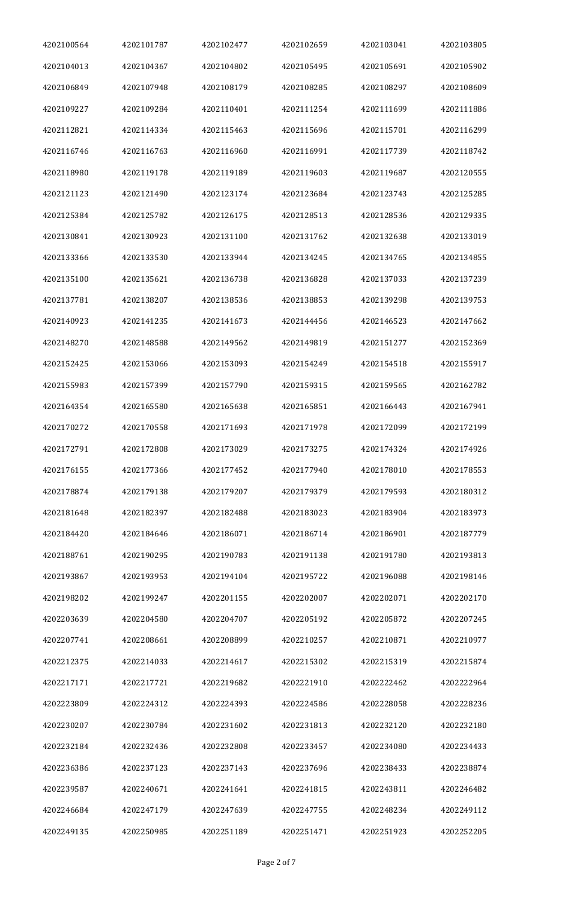| 4202100564 | 4202101787 | 4202102477 | 4202102659 | 4202103041 | 4202103805 |
|------------|------------|------------|------------|------------|------------|
| 4202104013 | 4202104367 | 4202104802 | 4202105495 | 4202105691 | 4202105902 |
| 4202106849 | 4202107948 | 4202108179 | 4202108285 | 4202108297 | 4202108609 |
| 4202109227 | 4202109284 | 4202110401 | 4202111254 | 4202111699 | 4202111886 |
| 4202112821 | 4202114334 | 4202115463 | 4202115696 | 4202115701 | 4202116299 |
| 4202116746 | 4202116763 | 4202116960 | 4202116991 | 4202117739 | 4202118742 |
| 4202118980 | 4202119178 | 4202119189 | 4202119603 | 4202119687 | 4202120555 |
| 4202121123 | 4202121490 | 4202123174 | 4202123684 | 4202123743 | 4202125285 |
| 4202125384 | 4202125782 | 4202126175 | 4202128513 | 4202128536 | 4202129335 |
| 4202130841 | 4202130923 | 4202131100 | 4202131762 | 4202132638 | 4202133019 |
| 4202133366 | 4202133530 | 4202133944 | 4202134245 | 4202134765 | 4202134855 |
| 4202135100 | 4202135621 | 4202136738 | 4202136828 | 4202137033 | 4202137239 |
| 4202137781 | 4202138207 | 4202138536 | 4202138853 | 4202139298 | 4202139753 |
| 4202140923 | 4202141235 | 4202141673 | 4202144456 | 4202146523 | 4202147662 |
| 4202148270 | 4202148588 | 4202149562 | 4202149819 | 4202151277 | 4202152369 |
| 4202152425 | 4202153066 | 4202153093 | 4202154249 | 4202154518 | 4202155917 |
| 4202155983 | 4202157399 | 4202157790 | 4202159315 | 4202159565 | 4202162782 |
| 4202164354 | 4202165580 | 4202165638 | 4202165851 | 4202166443 | 4202167941 |
| 4202170272 | 4202170558 | 4202171693 | 4202171978 | 4202172099 | 4202172199 |
| 4202172791 | 4202172808 | 4202173029 | 4202173275 | 4202174324 | 4202174926 |
| 4202176155 | 4202177366 | 4202177452 | 4202177940 | 4202178010 | 4202178553 |
| 4202178874 | 4202179138 | 4202179207 | 4202179379 | 4202179593 | 4202180312 |
| 4202181648 | 4202182397 | 4202182488 | 4202183023 | 4202183904 | 4202183973 |
| 4202184420 | 4202184646 | 4202186071 | 4202186714 | 4202186901 | 4202187779 |
| 4202188761 | 4202190295 | 4202190783 | 4202191138 | 4202191780 | 4202193813 |
| 4202193867 | 4202193953 | 4202194104 | 4202195722 | 4202196088 | 4202198146 |
| 4202198202 | 4202199247 | 4202201155 | 4202202007 | 4202202071 | 4202202170 |
| 4202203639 | 4202204580 | 4202204707 | 4202205192 | 4202205872 | 4202207245 |
| 4202207741 | 4202208661 | 4202208899 | 4202210257 | 4202210871 | 4202210977 |
| 4202212375 | 4202214033 | 4202214617 | 4202215302 | 4202215319 | 4202215874 |
| 4202217171 | 4202217721 | 4202219682 | 4202221910 | 4202222462 | 4202222964 |
| 4202223809 | 4202224312 | 4202224393 | 4202224586 | 4202228058 | 4202228236 |
| 4202230207 | 4202230784 | 4202231602 | 4202231813 | 4202232120 | 4202232180 |
| 4202232184 | 4202232436 | 4202232808 | 4202233457 | 4202234080 | 4202234433 |
| 4202236386 | 4202237123 | 4202237143 | 4202237696 | 4202238433 | 4202238874 |
| 4202239587 | 4202240671 | 4202241641 | 4202241815 | 4202243811 | 4202246482 |
| 4202246684 | 4202247179 | 4202247639 | 4202247755 | 4202248234 | 4202249112 |
| 4202249135 | 4202250985 | 4202251189 | 4202251471 | 4202251923 | 4202252205 |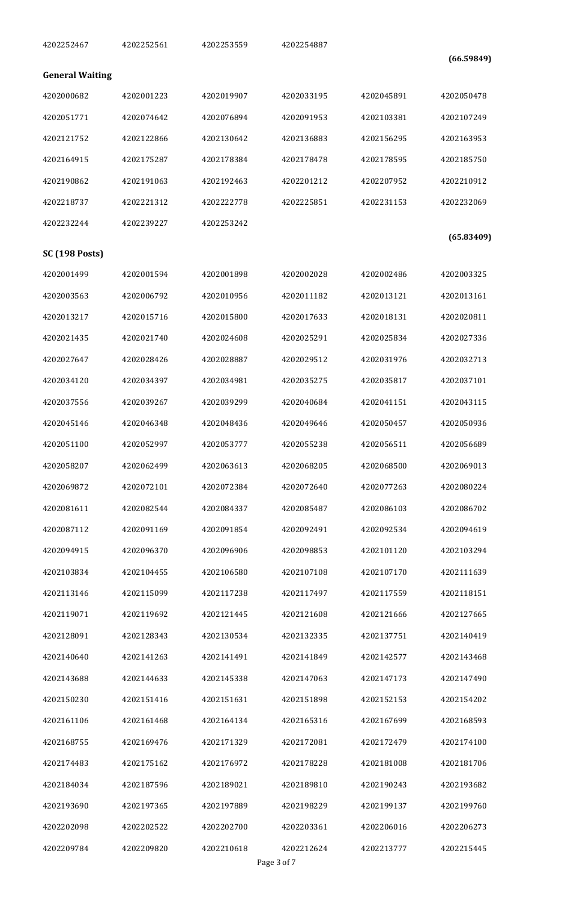| 4202252467             | 4202252561               | 4202253559               | 4202254887               |                          | (66.59849)               |
|------------------------|--------------------------|--------------------------|--------------------------|--------------------------|--------------------------|
| <b>General Waiting</b> |                          |                          |                          |                          |                          |
| 4202000682             | 4202001223               | 4202019907               | 4202033195               | 4202045891               | 4202050478               |
| 4202051771             | 4202074642               | 4202076894               | 4202091953               | 4202103381               | 4202107249               |
| 4202121752             | 4202122866               | 4202130642               | 4202136883               | 4202156295               | 4202163953               |
| 4202164915             | 4202175287               | 4202178384               | 4202178478               | 4202178595               | 4202185750               |
| 4202190862             | 4202191063               | 4202192463               | 4202201212               | 4202207952               | 4202210912               |
| 4202218737             | 4202221312               | 4202222778               | 4202225851               | 4202231153               | 4202232069               |
| 4202232244             | 4202239227               | 4202253242               |                          |                          |                          |
| <b>SC (198 Posts)</b>  |                          |                          |                          |                          | (65.83409)               |
| 4202001499             | 4202001594               | 4202001898               | 4202002028               | 4202002486               | 4202003325               |
| 4202003563             | 4202006792               | 4202010956               | 4202011182               | 4202013121               | 4202013161               |
| 4202013217             | 4202015716               | 4202015800               | 4202017633               | 4202018131               | 4202020811               |
| 4202021435             | 4202021740               | 4202024608               | 4202025291               | 4202025834               | 4202027336               |
| 4202027647             | 4202028426               | 4202028887               | 4202029512               | 4202031976               | 4202032713               |
| 4202034120             | 4202034397               | 4202034981               | 4202035275               | 4202035817               | 4202037101               |
| 4202037556             | 4202039267               | 4202039299               | 4202040684               | 4202041151               | 4202043115               |
| 4202045146             | 4202046348               |                          | 4202049646               |                          | 4202050936               |
| 4202051100             | 4202052997               | 4202048436<br>4202053777 | 4202055238               | 4202050457<br>4202056511 | 4202056689               |
| 4202058207             | 4202062499               | 4202063613               | 4202068205               | 4202068500               | 4202069013               |
| 4202069872             | 4202072101               | 4202072384               | 4202072640               | 4202077263               | 4202080224               |
| 4202081611             |                          |                          |                          | 4202086103               |                          |
| 4202087112             | 4202082544               | 4202084337               | 4202085487               |                          | 4202086702               |
| 4202094915             | 4202091169<br>4202096370 | 4202091854<br>4202096906 | 4202092491<br>4202098853 | 4202092534<br>4202101120 | 4202094619<br>4202103294 |
|                        |                          |                          |                          |                          |                          |
| 4202103834             | 4202104455               | 4202106580               | 4202107108               | 4202107170               | 4202111639               |
| 4202113146             | 4202115099               | 4202117238               | 4202117497               | 4202117559               | 4202118151               |
| 4202119071             | 4202119692               | 4202121445               | 4202121608               | 4202121666               | 4202127665               |
| 4202128091             | 4202128343               | 4202130534               | 4202132335               | 4202137751               | 4202140419               |
| 4202140640             | 4202141263               | 4202141491               | 4202141849               | 4202142577               | 4202143468               |
| 4202143688             | 4202144633               | 4202145338               | 4202147063               | 4202147173               | 4202147490               |
| 4202150230             | 4202151416               | 4202151631               | 4202151898               | 4202152153               | 4202154202               |
| 4202161106             | 4202161468               | 4202164134               | 4202165316               | 4202167699               | 4202168593               |
| 4202168755             | 4202169476               | 4202171329               | 4202172081               | 4202172479               | 4202174100               |
| 4202174483             | 4202175162               | 4202176972               | 4202178228               | 4202181008               | 4202181706               |
| 4202184034             | 4202187596               | 4202189021               | 4202189810               | 4202190243               | 4202193682               |
| 4202193690             | 4202197365               | 4202197889               | 4202198229               | 4202199137               | 4202199760               |
| 4202202098             | 4202202522               | 4202202700               | 4202203361               | 4202206016               | 4202206273               |
| 4202209784             | 4202209820               | 4202210618               | 4202212624               | 4202213777               | 4202215445               |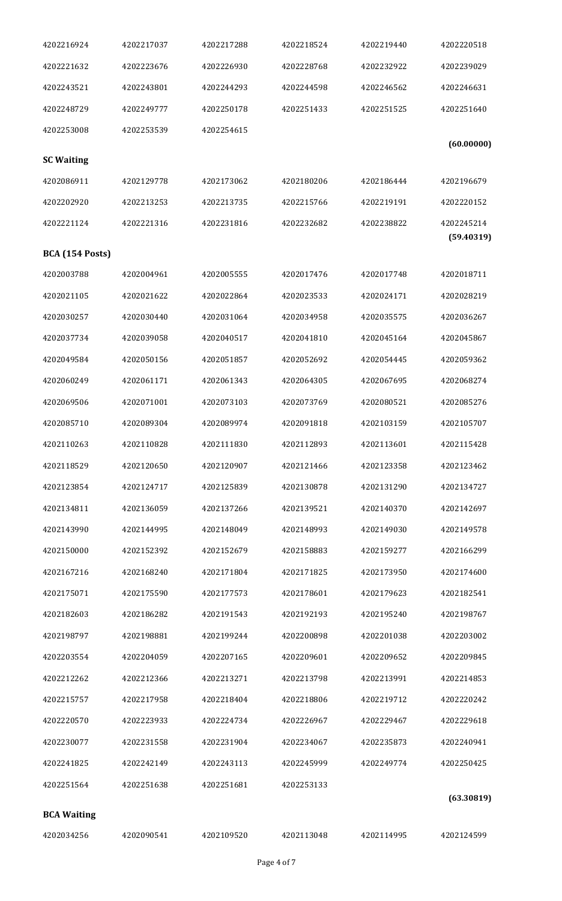| 4202216924             | 4202217037 | 4202217288 | 4202218524 | 4202219440 | 4202220518               |
|------------------------|------------|------------|------------|------------|--------------------------|
| 4202221632             | 4202223676 | 4202226930 | 4202228768 | 4202232922 | 4202239029               |
| 4202243521             | 4202243801 | 4202244293 | 4202244598 | 4202246562 | 4202246631               |
| 4202248729             | 4202249777 | 4202250178 | 4202251433 | 4202251525 | 4202251640               |
| 4202253008             | 4202253539 | 4202254615 |            |            |                          |
| <b>SC Waiting</b>      |            |            |            |            | (60.00000)               |
| 4202086911             | 4202129778 | 4202173062 | 4202180206 | 4202186444 | 4202196679               |
| 4202202920             | 4202213253 | 4202213735 | 4202215766 | 4202219191 | 4202220152               |
| 4202221124             | 4202221316 | 4202231816 | 4202232682 | 4202238822 | 4202245214<br>(59.40319) |
| <b>BCA</b> (154 Posts) |            |            |            |            |                          |
| 4202003788             | 4202004961 | 4202005555 | 4202017476 | 4202017748 | 4202018711               |
| 4202021105             | 4202021622 | 4202022864 | 4202023533 | 4202024171 | 4202028219               |
| 4202030257             | 4202030440 | 4202031064 | 4202034958 | 4202035575 | 4202036267               |
| 4202037734             | 4202039058 | 4202040517 | 4202041810 | 4202045164 | 4202045867               |
| 4202049584             | 4202050156 | 4202051857 | 4202052692 | 4202054445 | 4202059362               |
| 4202060249             | 4202061171 | 4202061343 | 4202064305 | 4202067695 | 4202068274               |
| 4202069506             | 4202071001 | 4202073103 | 4202073769 | 4202080521 | 4202085276               |
| 4202085710             | 4202089304 | 4202089974 | 4202091818 | 4202103159 | 4202105707               |
| 4202110263             | 4202110828 | 4202111830 | 4202112893 | 4202113601 | 4202115428               |
| 4202118529             | 4202120650 | 4202120907 | 4202121466 | 4202123358 | 4202123462               |
| 4202123854             | 4202124717 | 4202125839 | 4202130878 | 4202131290 | 4202134727               |
| 4202134811             | 4202136059 | 4202137266 | 4202139521 | 4202140370 | 4202142697               |
| 4202143990             | 4202144995 | 4202148049 | 4202148993 | 4202149030 | 4202149578               |
| 4202150000             | 4202152392 | 4202152679 | 4202158883 | 4202159277 | 4202166299               |
| 4202167216             | 4202168240 | 4202171804 | 4202171825 | 4202173950 | 4202174600               |
| 4202175071             | 4202175590 | 4202177573 | 4202178601 | 4202179623 | 4202182541               |
| 4202182603             | 4202186282 | 4202191543 | 4202192193 | 4202195240 | 4202198767               |
| 4202198797             | 4202198881 | 4202199244 | 4202200898 | 4202201038 | 4202203002               |
| 4202203554             | 4202204059 | 4202207165 | 4202209601 | 4202209652 | 4202209845               |
| 4202212262             | 4202212366 | 4202213271 | 4202213798 | 4202213991 | 4202214853               |
| 4202215757             | 4202217958 | 4202218404 | 4202218806 | 4202219712 | 4202220242               |
| 4202220570             | 4202223933 | 4202224734 | 4202226967 | 4202229467 | 4202229618               |
| 4202230077             | 4202231558 | 4202231904 | 4202234067 | 4202235873 | 4202240941               |
| 4202241825             | 4202242149 | 4202243113 | 4202245999 | 4202249774 | 4202250425               |
| 4202251564             | 4202251638 | 4202251681 | 4202253133 |            |                          |
| <b>BCA Waiting</b>     |            |            |            |            | (63.30819)               |
| 4202034256             | 4202090541 | 4202109520 | 4202113048 | 4202114995 | 4202124599               |
|                        |            |            |            |            |                          |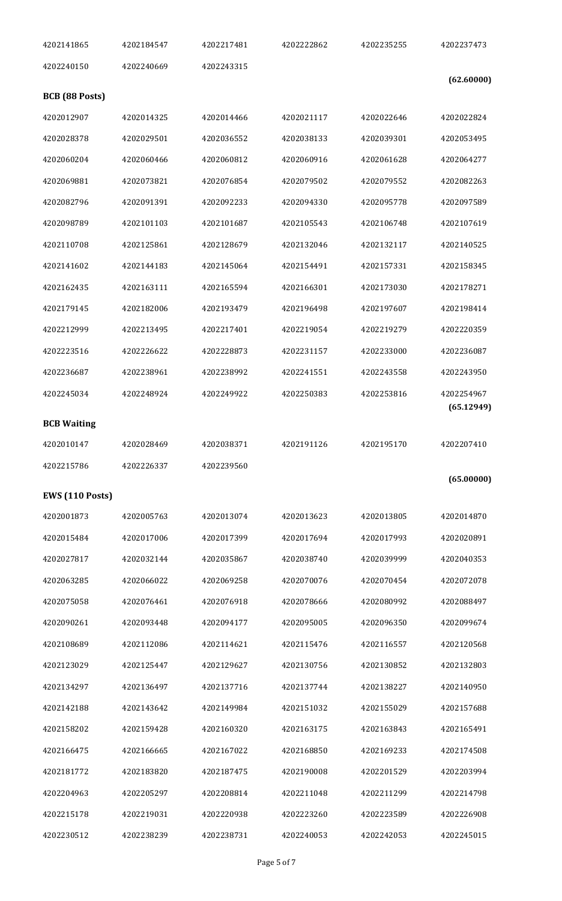| 4202141865                           | 4202184547 | 4202217481 | 4202222862 | 4202235255 | 4202237473               |
|--------------------------------------|------------|------------|------------|------------|--------------------------|
| 4202240150                           | 4202240669 | 4202243315 |            |            |                          |
| BCB (88 Posts)                       |            |            |            |            | (62.60000)               |
| 4202012907                           | 4202014325 | 4202014466 | 4202021117 | 4202022646 | 4202022824               |
| 4202028378                           | 4202029501 | 4202036552 | 4202038133 | 4202039301 | 4202053495               |
| 4202060204                           | 4202060466 | 4202060812 | 4202060916 | 4202061628 | 4202064277               |
| 4202069881                           | 4202073821 | 4202076854 | 4202079502 | 4202079552 | 4202082263               |
| 4202082796                           | 4202091391 | 4202092233 | 4202094330 | 4202095778 | 4202097589               |
| 4202098789                           | 4202101103 | 4202101687 | 4202105543 | 4202106748 | 4202107619               |
| 4202110708                           | 4202125861 | 4202128679 | 4202132046 | 4202132117 | 4202140525               |
| 4202141602                           | 4202144183 | 4202145064 | 4202154491 | 4202157331 | 4202158345               |
| 4202162435                           | 4202163111 | 4202165594 | 4202166301 | 4202173030 | 4202178271               |
| 4202179145                           | 4202182006 | 4202193479 | 4202196498 | 4202197607 | 4202198414               |
| 4202212999                           | 4202213495 | 4202217401 | 4202219054 | 4202219279 | 4202220359               |
| 4202223516                           | 4202226622 | 4202228873 | 4202231157 | 4202233000 | 4202236087               |
| 4202236687                           | 4202238961 | 4202238992 | 4202241551 | 4202243558 | 4202243950               |
| 4202245034                           | 4202248924 | 4202249922 | 4202250383 | 4202253816 | 4202254967<br>(65.12949) |
| <b>BCB Waiting</b>                   |            |            |            |            |                          |
| 4202010147                           | 4202028469 | 4202038371 | 4202191126 | 4202195170 | 4202207410               |
| 4202215786                           | 4202226337 | 4202239560 |            |            |                          |
|                                      |            |            |            |            | (65.00000)               |
| <b>EWS (110 Posts)</b><br>4202001873 | 4202005763 | 4202013074 | 4202013623 | 4202013805 | 4202014870               |
| 4202015484                           | 4202017006 | 4202017399 | 4202017694 | 4202017993 | 4202020891               |
| 4202027817                           |            |            |            |            | 4202040353               |
|                                      | 4202032144 | 4202035867 | 4202038740 | 4202039999 |                          |
| 4202063285                           | 4202066022 | 4202069258 | 4202070076 | 4202070454 | 4202072078               |
| 4202075058                           | 4202076461 | 4202076918 | 4202078666 | 4202080992 | 4202088497               |
| 4202090261                           | 4202093448 | 4202094177 | 4202095005 | 4202096350 | 4202099674               |
| 4202108689                           | 4202112086 | 4202114621 | 4202115476 | 4202116557 | 4202120568               |
| 4202123029                           | 4202125447 | 4202129627 | 4202130756 | 4202130852 | 4202132803               |
| 4202134297                           | 4202136497 | 4202137716 | 4202137744 | 4202138227 | 4202140950               |
| 4202142188                           | 4202143642 | 4202149984 | 4202151032 | 4202155029 | 4202157688               |
| 4202158202                           | 4202159428 | 4202160320 | 4202163175 | 4202163843 | 4202165491               |
| 4202166475                           | 4202166665 | 4202167022 | 4202168850 | 4202169233 | 4202174508               |
| 4202181772                           | 4202183820 | 4202187475 | 4202190008 | 4202201529 | 4202203994               |
| 4202204963                           | 4202205297 | 4202208814 | 4202211048 | 4202211299 | 4202214798               |
| 4202215178                           | 4202219031 | 4202220938 | 4202223260 | 4202223589 | 4202226908               |
| 4202230512                           | 4202238239 | 4202238731 | 4202240053 | 4202242053 | 4202245015               |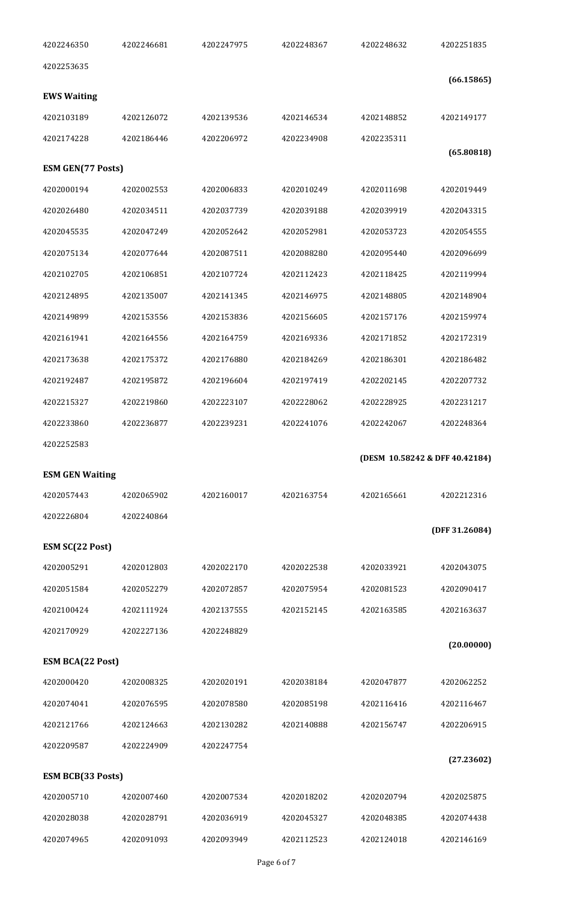| 4202246350                    | 4202246681 | 4202247975 | 4202248367 | 4202248632 | 4202251835                     |
|-------------------------------|------------|------------|------------|------------|--------------------------------|
| 4202253635                    |            |            |            |            | (66.15865)                     |
| <b>EWS Waiting</b>            |            |            |            |            |                                |
| 4202103189                    | 4202126072 | 4202139536 | 4202146534 | 4202148852 | 4202149177                     |
| 4202174228                    | 4202186446 | 4202206972 | 4202234908 | 4202235311 |                                |
| <b>ESM GEN(77 Posts)</b>      |            |            |            |            | (65.80818)                     |
| 4202000194                    | 4202002553 | 4202006833 | 4202010249 | 4202011698 | 4202019449                     |
| 4202026480                    | 4202034511 | 4202037739 | 4202039188 | 4202039919 | 4202043315                     |
| 4202045535                    | 4202047249 | 4202052642 | 4202052981 | 4202053723 | 4202054555                     |
| 4202075134                    | 4202077644 | 4202087511 | 4202088280 | 4202095440 | 4202096699                     |
| 4202102705                    | 4202106851 | 4202107724 | 4202112423 | 4202118425 | 4202119994                     |
| 4202124895                    | 4202135007 | 4202141345 | 4202146975 | 4202148805 | 4202148904                     |
| 4202149899                    | 4202153556 | 4202153836 | 4202156605 | 4202157176 | 4202159974                     |
| 4202161941                    | 4202164556 | 4202164759 | 4202169336 | 4202171852 | 4202172319                     |
| 4202173638                    | 4202175372 | 4202176880 | 4202184269 | 4202186301 | 4202186482                     |
| 4202192487                    | 4202195872 | 4202196604 | 4202197419 | 4202202145 | 4202207732                     |
| 4202215327                    | 4202219860 | 4202223107 | 4202228062 | 4202228925 | 4202231217                     |
| 4202233860                    | 4202236877 | 4202239231 | 4202241076 | 4202242067 | 4202248364                     |
| 4202252583                    |            |            |            |            |                                |
|                               |            |            |            |            |                                |
| <b>ESM GEN Waiting</b>        |            |            |            |            | (DESM 10.58242 & DFF 40.42184) |
| 4202057443                    | 4202065902 | 4202160017 | 4202163754 | 4202165661 | 4202212316                     |
| 4202226804                    | 4202240864 |            |            |            |                                |
|                               |            |            |            |            | (DFF 31.26084)                 |
| ESM SC(22 Post)<br>4202005291 | 4202012803 | 4202022170 | 4202022538 | 4202033921 | 4202043075                     |
| 4202051584                    | 4202052279 | 4202072857 | 4202075954 | 4202081523 | 4202090417                     |
| 4202100424                    | 4202111924 | 4202137555 | 4202152145 | 4202163585 | 4202163637                     |
| 4202170929                    | 4202227136 | 4202248829 |            |            |                                |
|                               |            |            |            |            | (20.00000)                     |
| <b>ESM BCA(22 Post)</b>       |            |            |            |            |                                |
| 4202000420                    | 4202008325 | 4202020191 | 4202038184 | 4202047877 | 4202062252                     |
| 4202074041                    | 4202076595 | 4202078580 | 4202085198 | 4202116416 | 4202116467                     |
| 4202121766                    | 4202124663 | 4202130282 | 4202140888 | 4202156747 | 4202206915                     |
| 4202209587                    | 4202224909 | 4202247754 |            |            | (27.23602)                     |
| <b>ESM BCB(33 Posts)</b>      |            |            |            |            |                                |
| 4202005710                    | 4202007460 | 4202007534 | 4202018202 | 4202020794 | 4202025875                     |
| 4202028038                    | 4202028791 | 4202036919 | 4202045327 | 4202048385 | 4202074438                     |